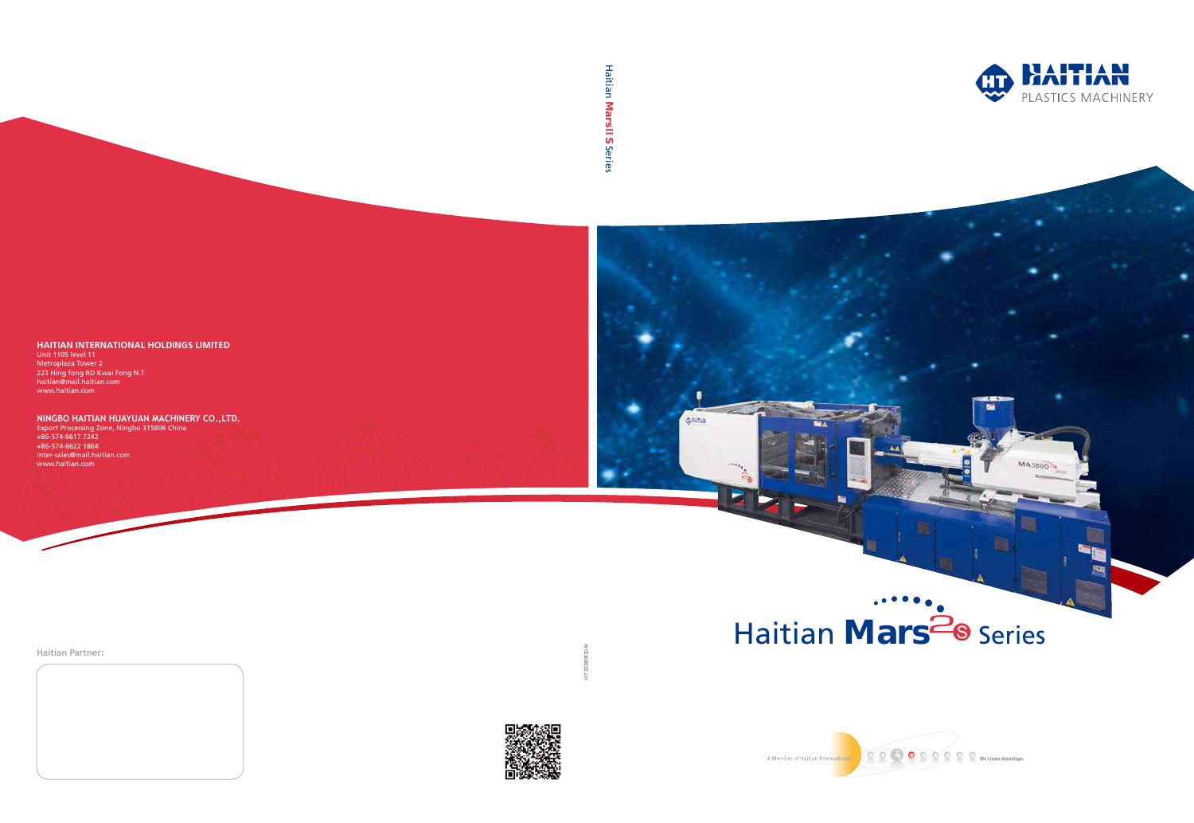HT 20180410-IV







**Haitian Partner:**





#### **HAITIAN INTERNATIONAL HOLDINGS LIMITED**

Unit 1105 level 11 Metroplaza Tower 2 223 Hing fong RD Kwai Fong N.T haitian@mail.haitian.com www.haitian.com

 $+86-574-8622$  1864 inter-sales@mail.haitian.com www.haitian.com

Haitian Mars<sup>2</sup><br>B Series

**NINGBO HAITIAN HUAYUAN MACHINERY CO.,LTD.** Export Processing Zone, Ningbo 315806 China +86-574-8617 7242

# Haitian Mars **Ⅱ**S) Series

**GRUTIS**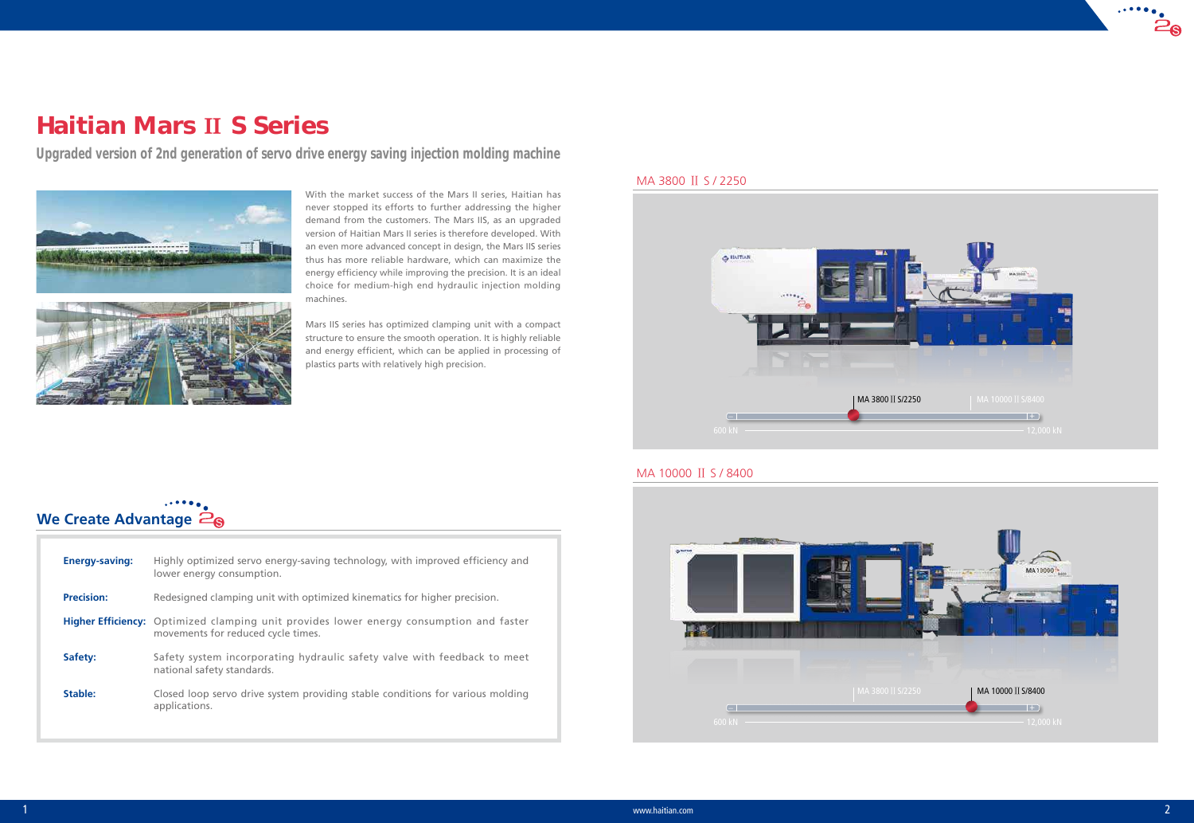

# MA 3800 Ⅱ S / 2250



# **We Create Advantage**  $\tilde{Z}_\Theta$

## MA 10000 Ⅱ S / 8400

# Haitian Mars **Ⅱ** S Series

*Upgraded version of 2nd generation of servo drive energy saving injection molding machine*



With the market success of the Mars II series, Haitian has never stopped its efforts to further addressing the higher demand from the customers. The Mars IIS, as an upgraded version of Haitian Mars II series is therefore developed. With an even more advanced concept in design, the Mars IIS series thus has more reliable hardware, which can maximize the energy efficiency while improving the precision. It is an ideal choice for medium-high end hydraulic injection molding machines.

Mars IIS series has optimized clamping unit with a compact structure to ensure the smooth operation. It is highly reliable and energy efficient, which can be applied in processing of plastics parts with relatively high precision.

| <b>Energy-saving:</b> | Highly optimized servo energy-saving technology, with improved efficiency and<br>lower energy consumption.                    |
|-----------------------|-------------------------------------------------------------------------------------------------------------------------------|
| <b>Precision:</b>     | Redesigned clamping unit with optimized kinematics for higher precision.                                                      |
|                       | Higher Efficiency: Optimized clamping unit provides lower energy consumption and faster<br>movements for reduced cycle times. |
| Safety:               | Safety system incorporating hydraulic safety valve with feedback to meet<br>national safety standards.                        |
| Stable:               | Closed loop servo drive system providing stable conditions for various molding<br>applications.                               |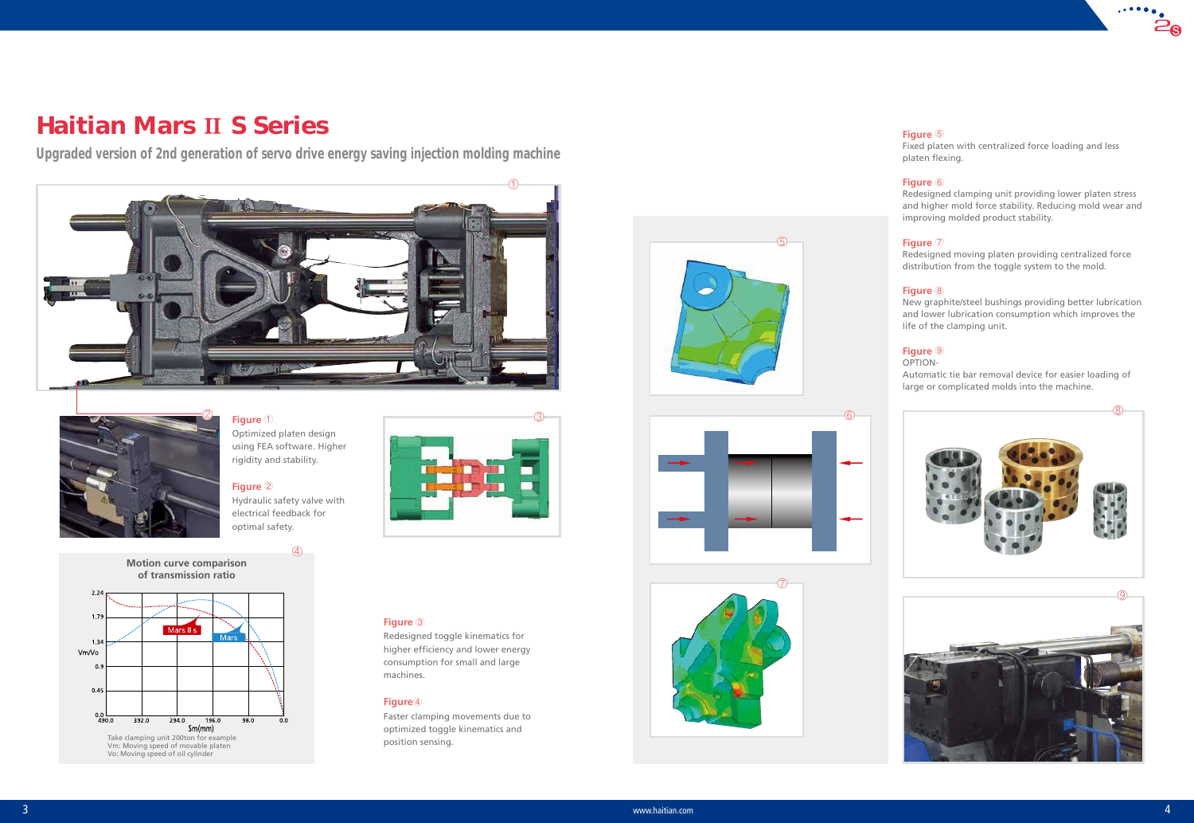④





#### $3$  www.haitian.com  $4$







# ⑤





# Haitian Mars **Ⅱ** S Series

*Upgraded version of 2nd generation of servo drive energy saving injection molding machine*

# **Figure** ①

Optimized platen design using FEA software. Higher rigidity and stability.

#### **Figure** ②

Hydraulic safety valve with electrical feedback for optimal safety.

**Figure** ③

Redesigned toggle kinematics for higher efficiency and lower energy consumption for small and large

machines.

**Figure**④

Faster clamping movements due to optimized toggle kinematics and

position sensing.





#### **Figure** ⑤

Fixed platen with centralized force loading and less platen flexing.

#### **Figure** ⑥

Redesigned clamping unit providing lower platen stress and higher mold force stability. Reducing mold wear and improving molded product stability.

#### **Figure** ⑦

Redesigned moving platen providing centralized force distribution from the toggle system to the mold.

#### **Figure** ⑧

New graphite/steel bushings providing better lubrication and lower lubrication consumption which improves the life of the clamping unit.

#### **Figure** ⑨

#### OPTION-

Automatic tie bar removal device for easier loading of large or complicated molds into the machine.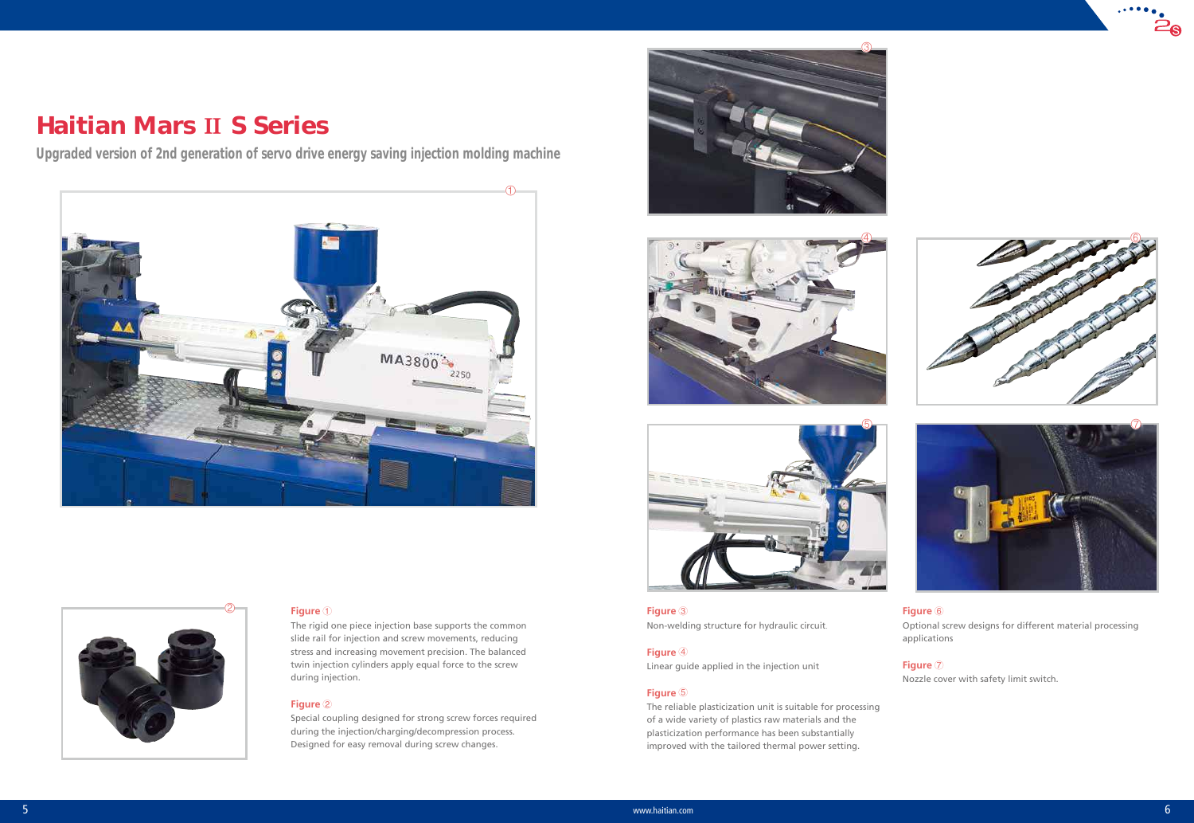









#### ② **Figure** <sup>①</sup>

The rigid one piece injection base supports the common slide rail for injection and screw movements, reducing stress and increasing movement precision. The balanced twin injection cylinders apply equal force to the screw during injection.

#### **Figure** ②

Special coupling designed for strong screw forces required during the injection/charging/decompression process. Designed for easy removal during screw changes.

**Figure** ③ Non-welding structure for hydraulic circuit.

#### **Figure** ④

Linear guide applied in the injection unit

#### **Figure** ⑤

The reliable plasticization unit is suitable for processing of a wide variety of plastics raw materials and the plasticization performance has been substantially improved with the tailored thermal power setting.

#### **Figure** ⑥

Optional screw designs for different material processing applications。

#### **Figure** ⑦

Nozzle cover with safety limit switch.

# **Haitian Mars II S Series**

*Upgraded version of 2nd generation of servo drive energy saving injection molding machine*



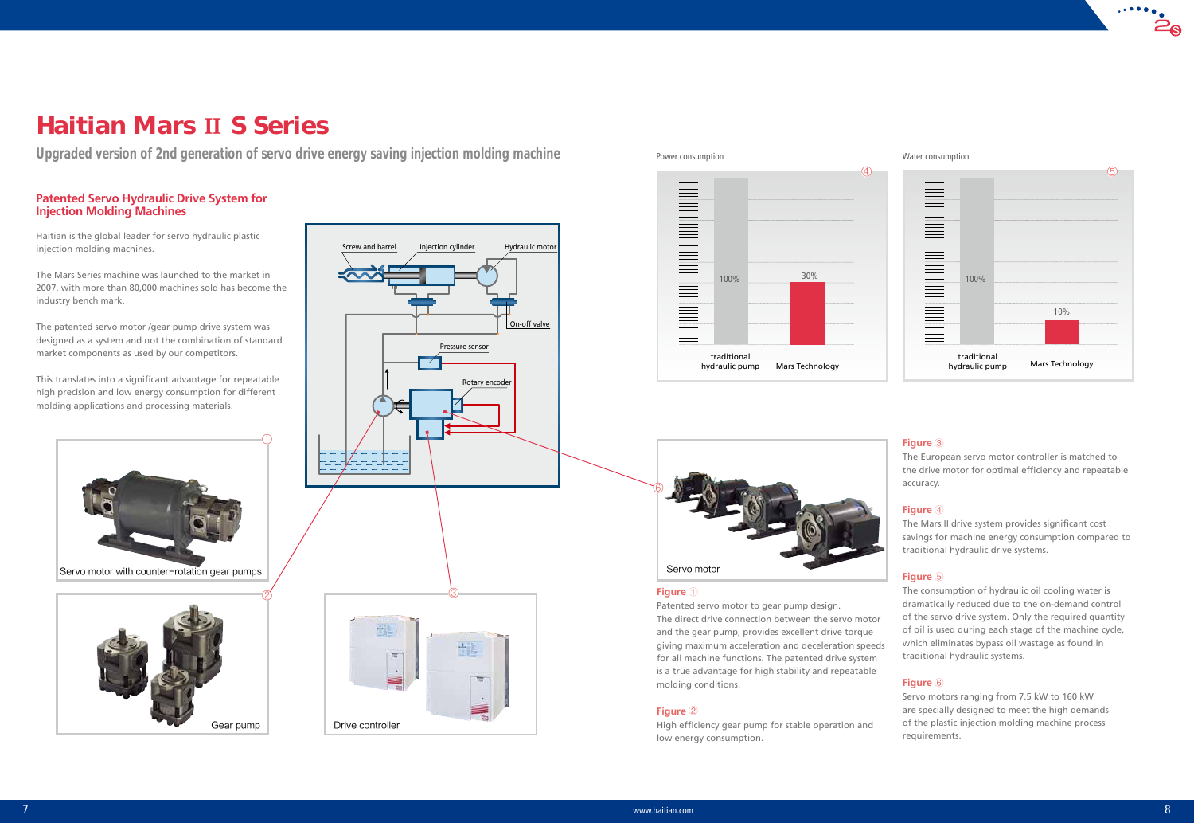

## **Figure** ①

Patented servo motor to gear pump design. The direct drive connection between the servo motor and the gear pump, provides excellent drive torque giving maximum acceleration and deceleration speeds for all machine functions. The patented drive system is a true advantage for high stability and repeatable molding conditions.

## **Figure** ②

High efficiency gear pump for stable operation and low energy consumption.

#### **Figure** ③

The European servo motor controller is matched to the drive motor for optimal efficiency and repeatable accuracy.

#### **Figure** ④

The Mars II drive system provides significant cost savings for machine energy consumption compared to traditional hydraulic drive systems.

#### **Figure** ⑤

The consumption of hydraulic oil cooling water is dramatically reduced due to the on-demand control of the servo drive system. Only the required quantity of oil is used during each stage of the machine cycle, which eliminates bypass oil wastage as found in traditional hydraulic systems.







#### **Figure** ⑥





Servo motors ranging from 7.5 kW to 160 kW are specially designed to meet the high demands of the plastic injection molding machine process requirements.

# Haitian Mars **Ⅱ** S Series

*Upgraded version of 2nd generation of servo drive energy saving injection molding machine*

## **Patented Servo Hydraulic Drive System for Injection Molding Machines**

Haitian is the global leader for servo hydraulic plastic injection molding machines.

The Mars Series machine was launched to the market in 2007, with more than 80,000 machines sold has become the industry bench mark.

The patented servo motor /gear pump drive system was designed as a system and not the combination of standard market components as used by our competitors.

This translates into a significant advantage for repeatable high precision and low energy consumption for different molding applications and processing materials.

Servo motor with counter-rotation gear pumps

#### Water consumption

Power consumption